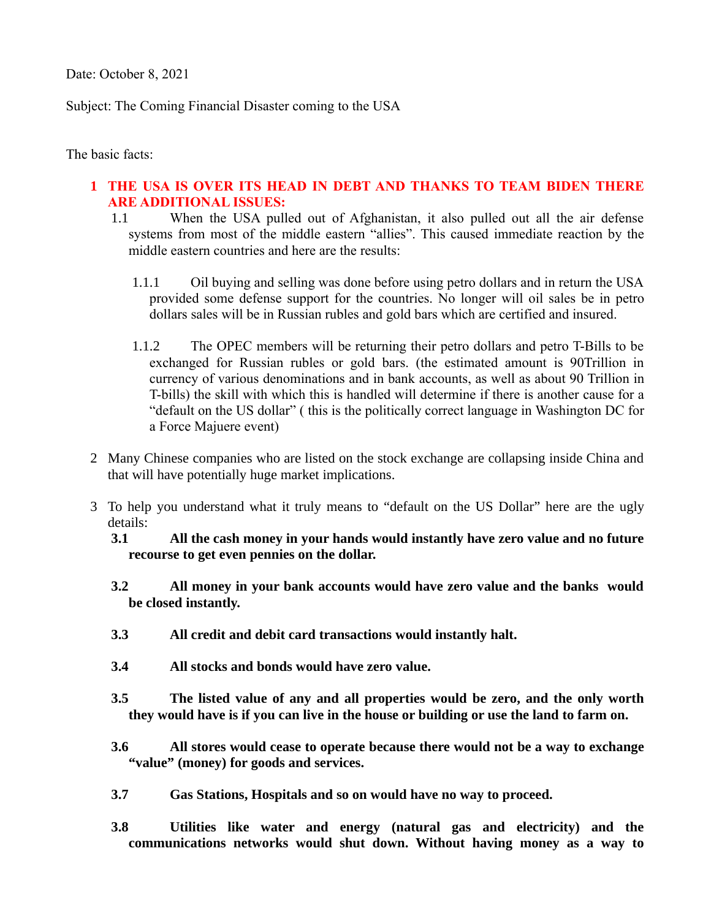Date: October 8, 2021

Subject: The Coming Financial Disaster coming to the USA

The basic facts:

## **1 THE USA IS OVER ITS HEAD IN DEBT AND THANKS TO TEAM BIDEN THERE ARE ADDITIONAL ISSUES:**

- 1.1 When the USA pulled out of Afghanistan, it also pulled out all the air defense systems from most of the middle eastern "allies". This caused immediate reaction by the middle eastern countries and here are the results:
	- 1.1.1 Oil buying and selling was done before using petro dollars and in return the USA provided some defense support for the countries. No longer will oil sales be in petro dollars sales will be in Russian rubles and gold bars which are certified and insured.
	- 1.1.2 The OPEC members will be returning their petro dollars and petro T-Bills to be exchanged for Russian rubles or gold bars. (the estimated amount is 90Trillion in currency of various denominations and in bank accounts, as well as about 90 Trillion in T-bills) the skill with which this is handled will determine if there is another cause for a "default on the US dollar" ( this is the politically correct language in Washington DC for a Force Majuere event)
- 2 Many Chinese companies who are listed on the stock exchange are collapsing inside China and that will have potentially huge market implications.
- 3 To help you understand what it truly means to "default on the US Dollar" here are the ugly details:
	- **3.1 All the cash money in your hands would instantly have zero value and no future recourse to get even pennies on the dollar.**
	- **3.2 All money in your bank accounts would have zero value and the banks would be closed instantly.**
	- **3.3 All credit and debit card transactions would instantly halt.**
	- **3.4 All stocks and bonds would have zero value.**
	- **3.5 The listed value of any and all properties would be zero, and the only worth they would have is if you can live in the house or building or use the land to farm on.**
	- **3.6 All stores would cease to operate because there would not be a way to exchange "value" (money) for goods and services.**
	- **3.7 Gas Stations, Hospitals and so on would have no way to proceed.**
	- **3.8 Utilities like water and energy (natural gas and electricity) and the communications networks would shut down. Without having money as a way to**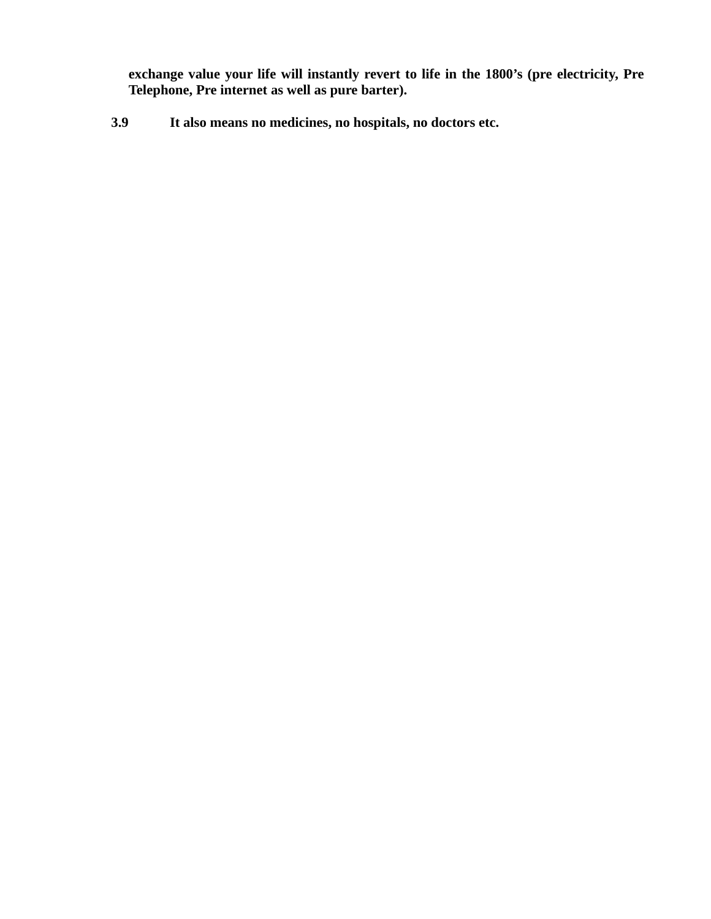**exchange value your life will instantly revert to life in the 1800's (pre electricity, Pre Telephone, Pre internet as well as pure barter).**

 **3.9 It also means no medicines, no hospitals, no doctors etc.**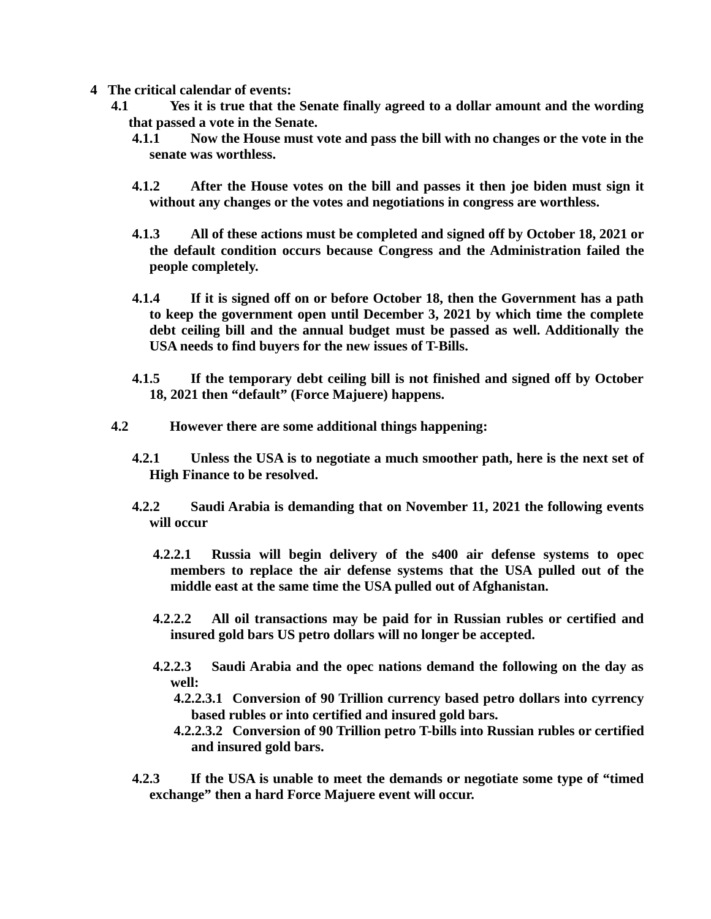- **4 The critical calendar of events:**
	- **4.1 Yes it is true that the Senate finally agreed to a dollar amount and the wording that passed a vote in the Senate.**
		- **4.1.1 Now the House must vote and pass the bill with no changes or the vote in the senate was worthless.**
		- **4.1.2 After the House votes on the bill and passes it then joe biden must sign it without any changes or the votes and negotiations in congress are worthless.**
		- **4.1.3 All of these actions must be completed and signed off by October 18, 2021 or the default condition occurs because Congress and the Administration failed the people completely.**
		- **4.1.4 If it is signed off on or before October 18, then the Government has a path to keep the government open until December 3, 2021 by which time the complete debt ceiling bill and the annual budget must be passed as well. Additionally the USA needs to find buyers for the new issues of T-Bills.**
		- **4.1.5 If the temporary debt ceiling bill is not finished and signed off by October 18, 2021 then "default" (Force Majuere) happens.**
	- **4.2 However there are some additional things happening:**
		- **4.2.1 Unless the USA is to negotiate a much smoother path, here is the next set of High Finance to be resolved.**
		- **4.2.2 Saudi Arabia is demanding that on November 11, 2021 the following events will occur**
			- **4.2.2.1 Russia will begin delivery of the s400 air defense systems to opec members to replace the air defense systems that the USA pulled out of the middle east at the same time the USA pulled out of Afghanistan.**
			- **4.2.2.2 All oil transactions may be paid for in Russian rubles or certified and insured gold bars US petro dollars will no longer be accepted.**
			- **4.2.2.3 Saudi Arabia and the opec nations demand the following on the day as well:**
				- **4.2.2.3.1 Conversion of 90 Trillion currency based petro dollars into cyrrency based rubles or into certified and insured gold bars.**
				- **4.2.2.3.2 Conversion of 90 Trillion petro T-bills into Russian rubles or certified and insured gold bars.**
		- **4.2.3 If the USA is unable to meet the demands or negotiate some type of "timed exchange" then a hard Force Majuere event will occur.**